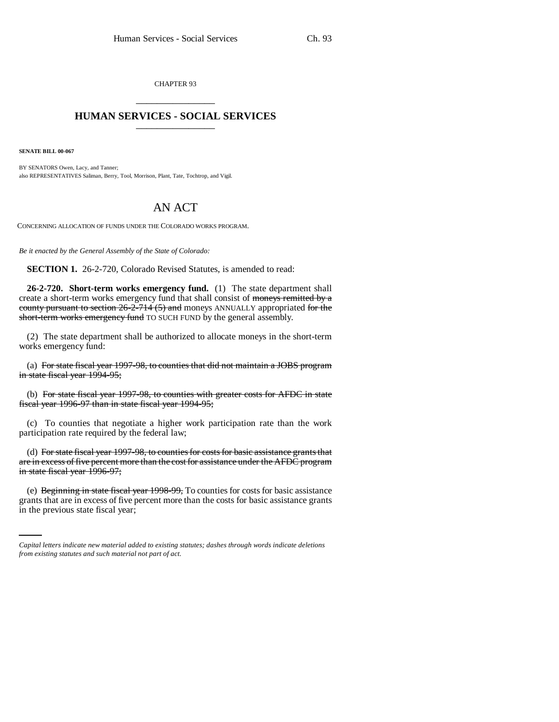CHAPTER 93 \_\_\_\_\_\_\_\_\_\_\_\_\_\_\_

## **HUMAN SERVICES - SOCIAL SERVICES** \_\_\_\_\_\_\_\_\_\_\_\_\_\_\_

**SENATE BILL 00-067**

BY SENATORS Owen, Lacy, and Tanner; also REPRESENTATIVES Saliman, Berry, Tool, Morrison, Plant, Tate, Tochtrop, and Vigil.

## AN ACT

CONCERNING ALLOCATION OF FUNDS UNDER THE COLORADO WORKS PROGRAM.

*Be it enacted by the General Assembly of the State of Colorado:*

**SECTION 1.** 26-2-720, Colorado Revised Statutes, is amended to read:

**26-2-720. Short-term works emergency fund.** (1) The state department shall create a short-term works emergency fund that shall consist of moneys remitted by a county pursuant to section 26-2-714 (5) and moneys ANNUALLY appropriated for the short-term works emergency fund TO SUCH FUND by the general assembly.

(2) The state department shall be authorized to allocate moneys in the short-term works emergency fund:

(a) For state fiscal year 1997-98, to counties that did not maintain a JOBS program in state fiscal year 1994-95;

(b) For state fiscal year 1997-98, to counties with greater costs for AFDC in state fiscal year 1996-97 than in state fiscal year 1994-95;

(c) To counties that negotiate a higher work participation rate than the work participation rate required by the federal law;

(d) For state fiscal year 1997-98, to counties for costs for basic assistance grants that are in excess of five percent more than the cost for assistance under the AFDC program in state fiscal year 1996-97;

(e) Beginning in state fiscal year 1998-99, To counties for costs for basic assistance grants that are in excess of five percent more than the costs for basic assistance grants in the previous state fiscal year;

*Capital letters indicate new material added to existing statutes; dashes through words indicate deletions from existing statutes and such material not part of act.*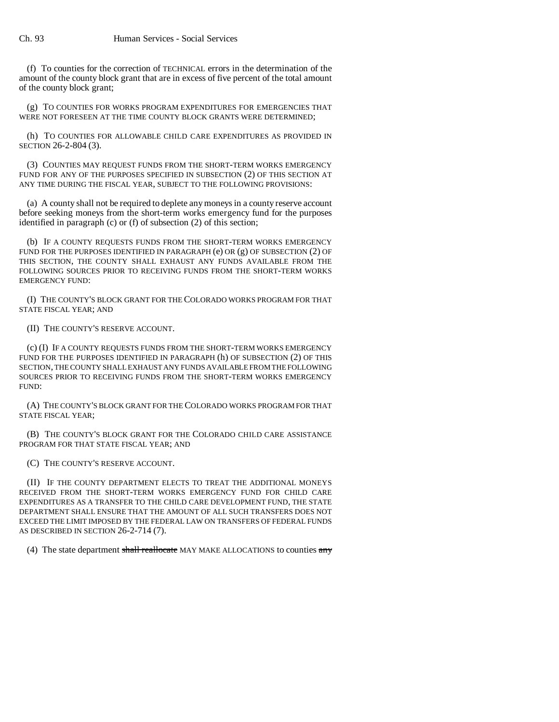(f) To counties for the correction of TECHNICAL errors in the determination of the amount of the county block grant that are in excess of five percent of the total amount of the county block grant;

(g) TO COUNTIES FOR WORKS PROGRAM EXPENDITURES FOR EMERGENCIES THAT WERE NOT FORESEEN AT THE TIME COUNTY BLOCK GRANTS WERE DETERMINED;

(h) TO COUNTIES FOR ALLOWABLE CHILD CARE EXPENDITURES AS PROVIDED IN SECTION 26-2-804 (3).

(3) COUNTIES MAY REQUEST FUNDS FROM THE SHORT-TERM WORKS EMERGENCY FUND FOR ANY OF THE PURPOSES SPECIFIED IN SUBSECTION (2) OF THIS SECTION AT ANY TIME DURING THE FISCAL YEAR, SUBJECT TO THE FOLLOWING PROVISIONS:

(a) A county shall not be required to deplete any moneys in a county reserve account before seeking moneys from the short-term works emergency fund for the purposes identified in paragraph (c) or (f) of subsection (2) of this section;

(b) IF A COUNTY REQUESTS FUNDS FROM THE SHORT-TERM WORKS EMERGENCY FUND FOR THE PURPOSES IDENTIFIED IN PARAGRAPH (e) OR (g) OF SUBSECTION (2) OF THIS SECTION, THE COUNTY SHALL EXHAUST ANY FUNDS AVAILABLE FROM THE FOLLOWING SOURCES PRIOR TO RECEIVING FUNDS FROM THE SHORT-TERM WORKS EMERGENCY FUND:

(I) THE COUNTY'S BLOCK GRANT FOR THE COLORADO WORKS PROGRAM FOR THAT STATE FISCAL YEAR; AND

(II) THE COUNTY'S RESERVE ACCOUNT.

(c) (I) IF A COUNTY REQUESTS FUNDS FROM THE SHORT-TERM WORKS EMERGENCY FUND FOR THE PURPOSES IDENTIFIED IN PARAGRAPH (h) OF SUBSECTION (2) OF THIS SECTION, THE COUNTY SHALL EXHAUST ANY FUNDS AVAILABLE FROM THE FOLLOWING SOURCES PRIOR TO RECEIVING FUNDS FROM THE SHORT-TERM WORKS EMERGENCY FUND:

(A) THE COUNTY'S BLOCK GRANT FOR THE COLORADO WORKS PROGRAM FOR THAT STATE FISCAL YEAR;

(B) THE COUNTY'S BLOCK GRANT FOR THE COLORADO CHILD CARE ASSISTANCE PROGRAM FOR THAT STATE FISCAL YEAR; AND

(C) THE COUNTY'S RESERVE ACCOUNT.

(II) IF THE COUNTY DEPARTMENT ELECTS TO TREAT THE ADDITIONAL MONEYS RECEIVED FROM THE SHORT-TERM WORKS EMERGENCY FUND FOR CHILD CARE EXPENDITURES AS A TRANSFER TO THE CHILD CARE DEVELOPMENT FUND, THE STATE DEPARTMENT SHALL ENSURE THAT THE AMOUNT OF ALL SUCH TRANSFERS DOES NOT EXCEED THE LIMIT IMPOSED BY THE FEDERAL LAW ON TRANSFERS OF FEDERAL FUNDS AS DESCRIBED IN SECTION 26-2-714 (7).

(4) The state department shall reallocate MAY MAKE ALLOCATIONS to counties  $\frac{any}{y}$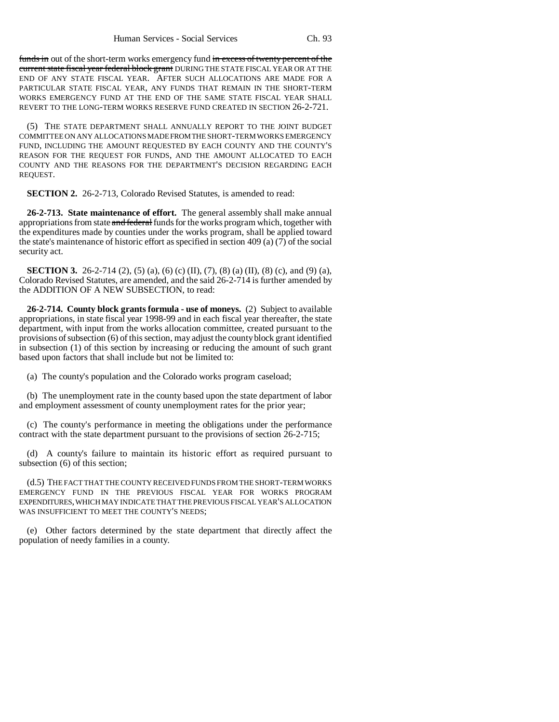funds in out of the short-term works emergency fund in excess of twenty percent of the current state fiscal year federal block grant DURING THE STATE FISCAL YEAR OR AT THE END OF ANY STATE FISCAL YEAR. AFTER SUCH ALLOCATIONS ARE MADE FOR A PARTICULAR STATE FISCAL YEAR, ANY FUNDS THAT REMAIN IN THE SHORT-TERM WORKS EMERGENCY FUND AT THE END OF THE SAME STATE FISCAL YEAR SHALL REVERT TO THE LONG-TERM WORKS RESERVE FUND CREATED IN SECTION 26-2-721.

(5) THE STATE DEPARTMENT SHALL ANNUALLY REPORT TO THE JOINT BUDGET COMMITTEE ON ANY ALLOCATIONS MADE FROM THE SHORT-TERM WORKS EMERGENCY FUND, INCLUDING THE AMOUNT REQUESTED BY EACH COUNTY AND THE COUNTY'S REASON FOR THE REQUEST FOR FUNDS, AND THE AMOUNT ALLOCATED TO EACH COUNTY AND THE REASONS FOR THE DEPARTMENT'S DECISION REGARDING EACH REQUEST.

**SECTION 2.** 26-2-713, Colorado Revised Statutes, is amended to read:

**26-2-713. State maintenance of effort.** The general assembly shall make annual appropriations from state and federal funds for the works program which, together with the expenditures made by counties under the works program, shall be applied toward the state's maintenance of historic effort as specified in section 409 (a)  $(7)$  of the social security act.

**SECTION 3.** 26-2-714 (2), (5) (a), (6) (c) (II), (7), (8) (a) (II), (8) (c), and (9) (a), Colorado Revised Statutes, are amended, and the said 26-2-714 is further amended by the ADDITION OF A NEW SUBSECTION, to read:

**26-2-714. County block grants formula - use of moneys.** (2) Subject to available appropriations, in state fiscal year 1998-99 and in each fiscal year thereafter, the state department, with input from the works allocation committee, created pursuant to the provisions of subsection (6) of this section, may adjust the county block grant identified in subsection (1) of this section by increasing or reducing the amount of such grant based upon factors that shall include but not be limited to:

(a) The county's population and the Colorado works program caseload;

(b) The unemployment rate in the county based upon the state department of labor and employment assessment of county unemployment rates for the prior year;

(c) The county's performance in meeting the obligations under the performance contract with the state department pursuant to the provisions of section 26-2-715;

(d) A county's failure to maintain its historic effort as required pursuant to subsection (6) of this section;

(d.5) THE FACT THAT THE COUNTY RECEIVED FUNDS FROM THE SHORT-TERM WORKS EMERGENCY FUND IN THE PREVIOUS FISCAL YEAR FOR WORKS PROGRAM EXPENDITURES, WHICH MAY INDICATE THAT THE PREVIOUS FISCAL YEAR'S ALLOCATION WAS INSUFFICIENT TO MEET THE COUNTY'S NEEDS;

(e) Other factors determined by the state department that directly affect the population of needy families in a county.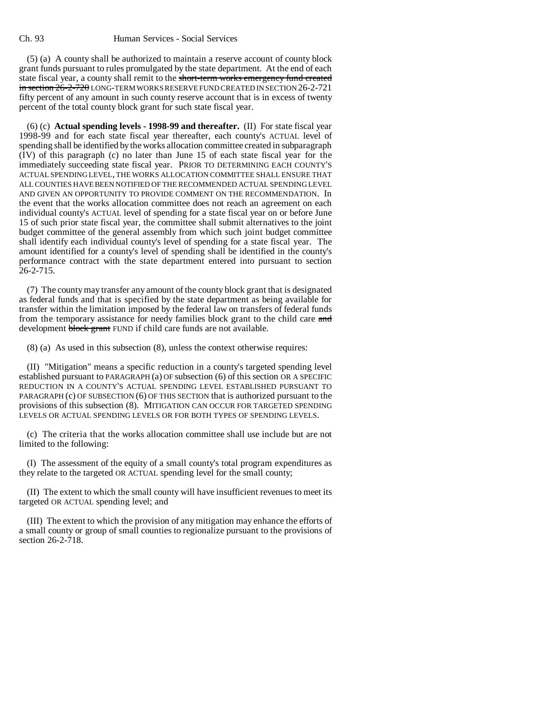## Ch. 93 Human Services - Social Services

(5) (a) A county shall be authorized to maintain a reserve account of county block grant funds pursuant to rules promulgated by the state department. At the end of each state fiscal year, a county shall remit to the short-term works emergency fund created in section 26-2-720 LONG-TERM WORKS RESERVE FUND CREATED IN SECTION 26-2-721 fifty percent of any amount in such county reserve account that is in excess of twenty percent of the total county block grant for such state fiscal year.

(6) (c) **Actual spending levels - 1998-99 and thereafter.** (II) For state fiscal year 1998-99 and for each state fiscal year thereafter, each county's ACTUAL level of spending shall be identified by the works allocation committee created in subparagraph (IV) of this paragraph (c) no later than June 15 of each state fiscal year for the immediately succeeding state fiscal year. PRIOR TO DETERMINING EACH COUNTY'S ACTUAL SPENDING LEVEL, THE WORKS ALLOCATION COMMITTEE SHALL ENSURE THAT ALL COUNTIES HAVE BEEN NOTIFIED OF THE RECOMMENDED ACTUAL SPENDING LEVEL AND GIVEN AN OPPORTUNITY TO PROVIDE COMMENT ON THE RECOMMENDATION. In the event that the works allocation committee does not reach an agreement on each individual county's ACTUAL level of spending for a state fiscal year on or before June 15 of such prior state fiscal year, the committee shall submit alternatives to the joint budget committee of the general assembly from which such joint budget committee shall identify each individual county's level of spending for a state fiscal year. The amount identified for a county's level of spending shall be identified in the county's performance contract with the state department entered into pursuant to section  $26 - 2 - 715$ .

(7) The county may transfer any amount of the county block grant that is designated as federal funds and that is specified by the state department as being available for transfer within the limitation imposed by the federal law on transfers of federal funds from the temporary assistance for needy families block grant to the child care and development block grant FUND if child care funds are not available.

(8) (a) As used in this subsection (8), unless the context otherwise requires:

(II) "Mitigation" means a specific reduction in a county's targeted spending level established pursuant to PARAGRAPH (a) OF subsection (6) of this section OR A SPECIFIC REDUCTION IN A COUNTY'S ACTUAL SPENDING LEVEL ESTABLISHED PURSUANT TO PARAGRAPH (c) OF SUBSECTION (6) OF THIS SECTION that is authorized pursuant to the provisions of this subsection (8). MITIGATION CAN OCCUR FOR TARGETED SPENDING LEVELS OR ACTUAL SPENDING LEVELS OR FOR BOTH TYPES OF SPENDING LEVELS.

(c) The criteria that the works allocation committee shall use include but are not limited to the following:

(I) The assessment of the equity of a small county's total program expenditures as they relate to the targeted OR ACTUAL spending level for the small county;

(II) The extent to which the small county will have insufficient revenues to meet its targeted OR ACTUAL spending level; and

(III) The extent to which the provision of any mitigation may enhance the efforts of a small county or group of small counties to regionalize pursuant to the provisions of section 26-2-718.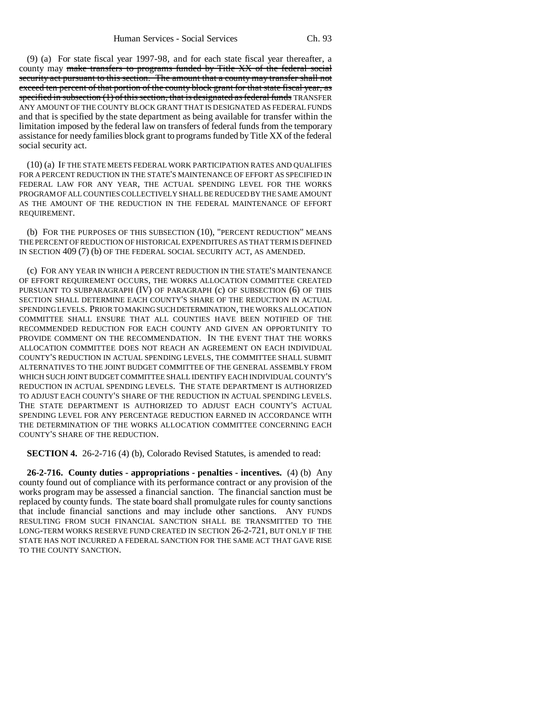(9) (a) For state fiscal year 1997-98, and for each state fiscal year thereafter, a county may make transfers to programs funded by Title XX of the federal social security act pursuant to this section. The amount that a county may transfer shall not exceed ten percent of that portion of the county block grant for that state fiscal year, as specified in subsection  $(1)$  of this section, that is designated as federal funds TRANSFER ANY AMOUNT OF THE COUNTY BLOCK GRANT THAT IS DESIGNATED AS FEDERAL FUNDS and that is specified by the state department as being available for transfer within the limitation imposed by the federal law on transfers of federal funds from the temporary assistance for needy families block grant to programs funded by Title XX of the federal social security act.

(10) (a) IF THE STATE MEETS FEDERAL WORK PARTICIPATION RATES AND QUALIFIES FOR A PERCENT REDUCTION IN THE STATE'S MAINTENANCE OF EFFORT AS SPECIFIED IN FEDERAL LAW FOR ANY YEAR, THE ACTUAL SPENDING LEVEL FOR THE WORKS PROGRAM OF ALL COUNTIES COLLECTIVELY SHALL BE REDUCED BY THE SAME AMOUNT AS THE AMOUNT OF THE REDUCTION IN THE FEDERAL MAINTENANCE OF EFFORT REQUIREMENT.

(b) FOR THE PURPOSES OF THIS SUBSECTION (10), "PERCENT REDUCTION" MEANS THE PERCENT OF REDUCTION OF HISTORICAL EXPENDITURES AS THAT TERM IS DEFINED IN SECTION 409 (7) (b) OF THE FEDERAL SOCIAL SECURITY ACT, AS AMENDED.

(c) FOR ANY YEAR IN WHICH A PERCENT REDUCTION IN THE STATE'S MAINTENANCE OF EFFORT REQUIREMENT OCCURS, THE WORKS ALLOCATION COMMITTEE CREATED PURSUANT TO SUBPARAGRAPH (IV) OF PARAGRAPH (c) OF SUBSECTION (6) OF THIS SECTION SHALL DETERMINE EACH COUNTY'S SHARE OF THE REDUCTION IN ACTUAL SPENDING LEVELS. PRIOR TO MAKING SUCH DETERMINATION, THE WORKS ALLOCATION COMMITTEE SHALL ENSURE THAT ALL COUNTIES HAVE BEEN NOTIFIED OF THE RECOMMENDED REDUCTION FOR EACH COUNTY AND GIVEN AN OPPORTUNITY TO PROVIDE COMMENT ON THE RECOMMENDATION. IN THE EVENT THAT THE WORKS ALLOCATION COMMITTEE DOES NOT REACH AN AGREEMENT ON EACH INDIVIDUAL COUNTY'S REDUCTION IN ACTUAL SPENDING LEVELS, THE COMMITTEE SHALL SUBMIT ALTERNATIVES TO THE JOINT BUDGET COMMITTEE OF THE GENERAL ASSEMBLY FROM WHICH SUCH JOINT BUDGET COMMITTEE SHALL IDENTIFY EACH INDIVIDUAL COUNTY'S REDUCTION IN ACTUAL SPENDING LEVELS. THE STATE DEPARTMENT IS AUTHORIZED TO ADJUST EACH COUNTY'S SHARE OF THE REDUCTION IN ACTUAL SPENDING LEVELS. THE STATE DEPARTMENT IS AUTHORIZED TO ADJUST EACH COUNTY'S ACTUAL SPENDING LEVEL FOR ANY PERCENTAGE REDUCTION EARNED IN ACCORDANCE WITH THE DETERMINATION OF THE WORKS ALLOCATION COMMITTEE CONCERNING EACH COUNTY'S SHARE OF THE REDUCTION.

**SECTION 4.** 26-2-716 (4) (b), Colorado Revised Statutes, is amended to read:

**26-2-716. County duties - appropriations - penalties - incentives.** (4) (b) Any county found out of compliance with its performance contract or any provision of the works program may be assessed a financial sanction. The financial sanction must be replaced by county funds. The state board shall promulgate rules for county sanctions that include financial sanctions and may include other sanctions. ANY FUNDS RESULTING FROM SUCH FINANCIAL SANCTION SHALL BE TRANSMITTED TO THE LONG-TERM WORKS RESERVE FUND CREATED IN SECTION 26-2-721, BUT ONLY IF THE STATE HAS NOT INCURRED A FEDERAL SANCTION FOR THE SAME ACT THAT GAVE RISE TO THE COUNTY SANCTION.